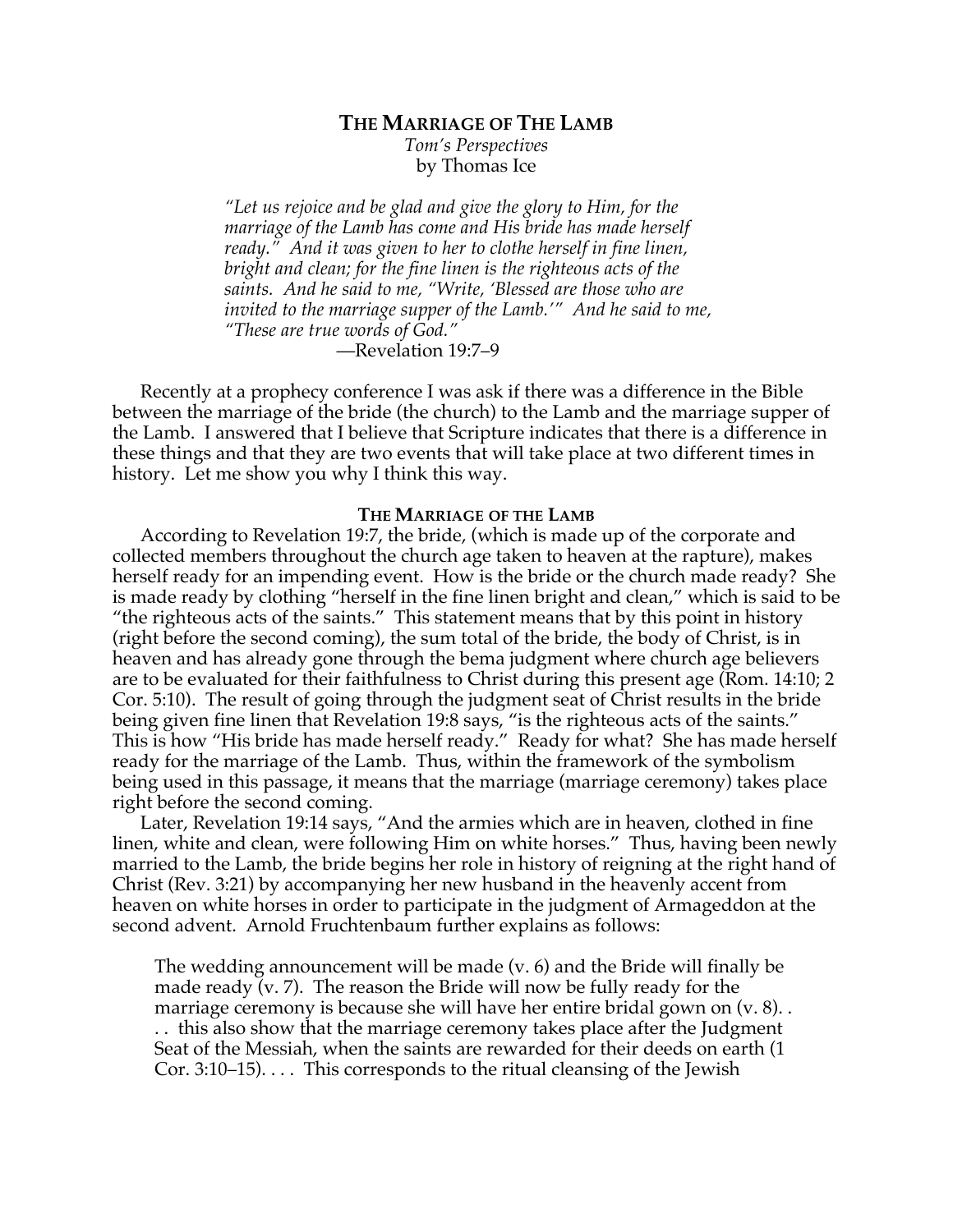# **THE MARRIAGE OF THE LAMB** *Tom's Perspectives*

by Thomas Ice

*"Let us rejoice and be glad and give the glory to Him, for the marriage of the Lamb has come and His bride has made herself ready." And it was given to her to clothe herself in fine linen, bright and clean; for the fine linen is the righteous acts of the saints. And he said to me, "Write, 'Blessed are those who are invited to the marriage supper of the Lamb.'" And he said to me, "These are true words of God."*

—Revelation 19:7–9

Recently at a prophecy conference I was ask if there was a difference in the Bible between the marriage of the bride (the church) to the Lamb and the marriage supper of the Lamb. I answered that I believe that Scripture indicates that there is a difference in these things and that they are two events that will take place at two different times in history. Let me show you why I think this way.

# **THE MARRIAGE OF THE LAMB**

According to Revelation 19:7, the bride, (which is made up of the corporate and collected members throughout the church age taken to heaven at the rapture), makes herself ready for an impending event. How is the bride or the church made ready? She is made ready by clothing "herself in the fine linen bright and clean," which is said to be "the righteous acts of the saints." This statement means that by this point in history (right before the second coming), the sum total of the bride, the body of Christ, is in heaven and has already gone through the bema judgment where church age believers are to be evaluated for their faithfulness to Christ during this present age (Rom. 14:10; 2 Cor. 5:10). The result of going through the judgment seat of Christ results in the bride being given fine linen that Revelation 19:8 says, "is the righteous acts of the saints." This is how "His bride has made herself ready." Ready for what? She has made herself ready for the marriage of the Lamb. Thus, within the framework of the symbolism being used in this passage, it means that the marriage (marriage ceremony) takes place right before the second coming.

Later, Revelation 19:14 says, "And the armies which are in heaven, clothed in fine linen, white and clean, were following Him on white horses." Thus, having been newly married to the Lamb, the bride begins her role in history of reigning at the right hand of Christ (Rev. 3:21) by accompanying her new husband in the heavenly accent from heaven on white horses in order to participate in the judgment of Armageddon at the second advent. Arnold Fruchtenbaum further explains as follows:

The wedding announcement will be made (v. 6) and the Bride will finally be made ready  $\overline{v}$ . The reason the Bride will now be fully ready for the marriage ceremony is because she will have her entire bridal gown on (v. 8). . . . this also show that the marriage ceremony takes place after the Judgment Seat of the Messiah, when the saints are rewarded for their deeds on earth (1 Cor. 3:10–15). . . . This corresponds to the ritual cleansing of the Jewish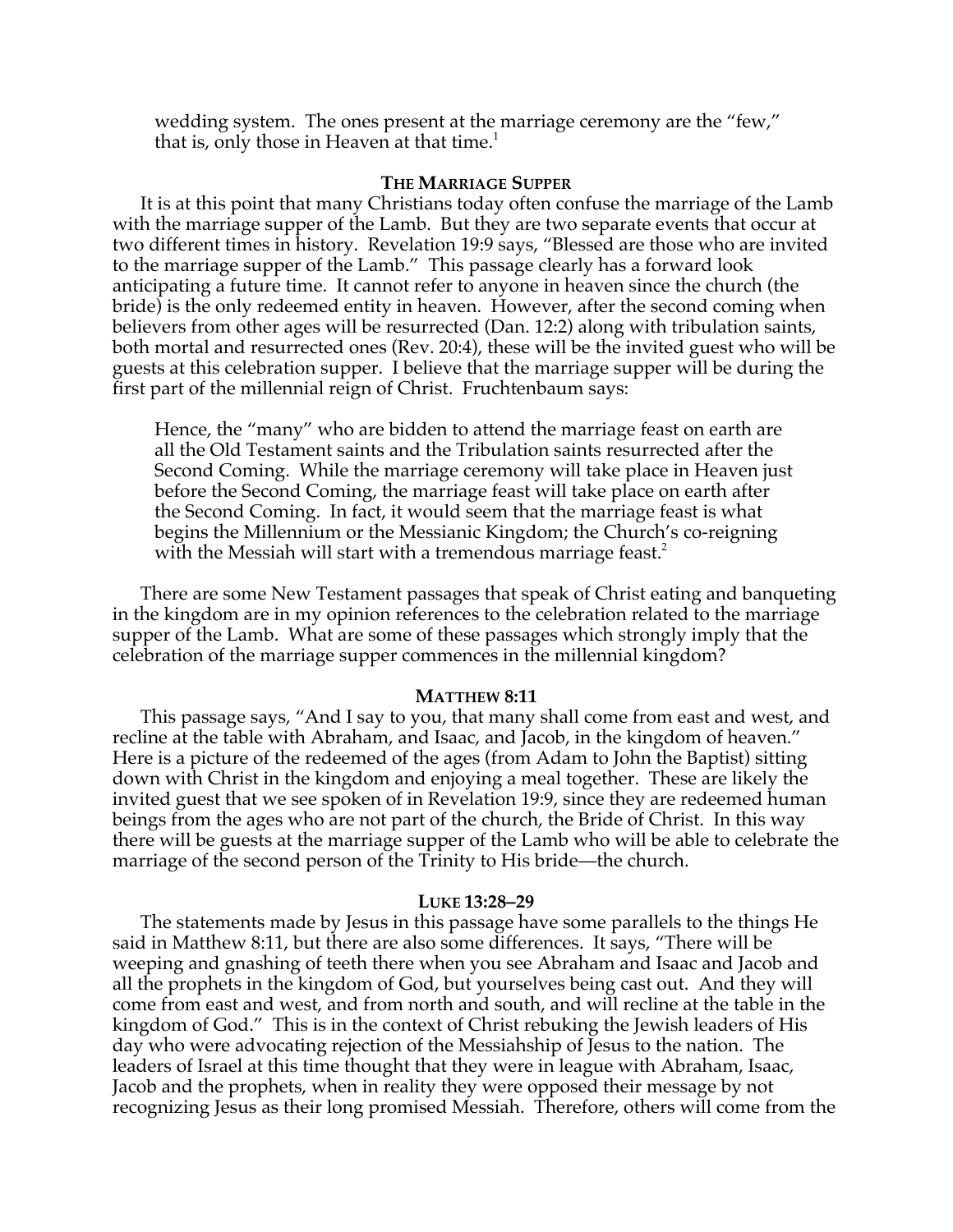wedding system. The ones present at the marriage ceremony are the "few," that is, only those in Heaven at that time.<sup>1</sup>

# **THE MARRIAGE SUPPER**

It is at this point that many Christians today often confuse the marriage of the Lamb with the marriage supper of the Lamb. But they are two separate events that occur at two different times in history. Revelation 19:9 says, "Blessed are those who are invited to the marriage supper of the Lamb." This passage clearly has a forward look anticipating a future time. It cannot refer to anyone in heaven since the church (the bride) is the only redeemed entity in heaven. However, after the second coming when believers from other ages will be resurrected (Dan. 12:2) along with tribulation saints, both mortal and resurrected ones (Rev. 20:4), these will be the invited guest who will be guests at this celebration supper. I believe that the marriage supper will be during the first part of the millennial reign of Christ. Fruchtenbaum says:

Hence, the "many" who are bidden to attend the marriage feast on earth are all the Old Testament saints and the Tribulation saints resurrected after the Second Coming. While the marriage ceremony will take place in Heaven just before the Second Coming, the marriage feast will take place on earth after the Second Coming. In fact, it would seem that the marriage feast is what begins the Millennium or the Messianic Kingdom; the Church's co-reigning with the Messiah will start with a tremendous marriage feast.<sup>2</sup>

There are some New Testament passages that speak of Christ eating and banqueting in the kingdom are in my opinion references to the celebration related to the marriage supper of the Lamb. What are some of these passages which strongly imply that the celebration of the marriage supper commences in the millennial kingdom?

### **MATTHEW 8:11**

This passage says, "And I say to you, that many shall come from east and west, and recline at the table with Abraham, and Isaac, and Jacob, in the kingdom of heaven." Here is a picture of the redeemed of the ages (from Adam to John the Baptist) sitting down with Christ in the kingdom and enjoying a meal together. These are likely the invited guest that we see spoken of in Revelation 19:9, since they are redeemed human beings from the ages who are not part of the church, the Bride of Christ. In this way there will be guests at the marriage supper of the Lamb who will be able to celebrate the marriage of the second person of the Trinity to His bride—the church.

### **LUKE 13:28–29**

The statements made by Jesus in this passage have some parallels to the things He said in Matthew 8:11, but there are also some differences. It says, "There will be weeping and gnashing of teeth there when you see Abraham and Isaac and Jacob and all the prophets in the kingdom of God, but yourselves being cast out. And they will come from east and west, and from north and south, and will recline at the table in the kingdom of God." This is in the context of Christ rebuking the Jewish leaders of His day who were advocating rejection of the Messiahship of Jesus to the nation. The leaders of Israel at this time thought that they were in league with Abraham, Isaac, Jacob and the prophets, when in reality they were opposed their message by not recognizing Jesus as their long promised Messiah. Therefore, others will come from the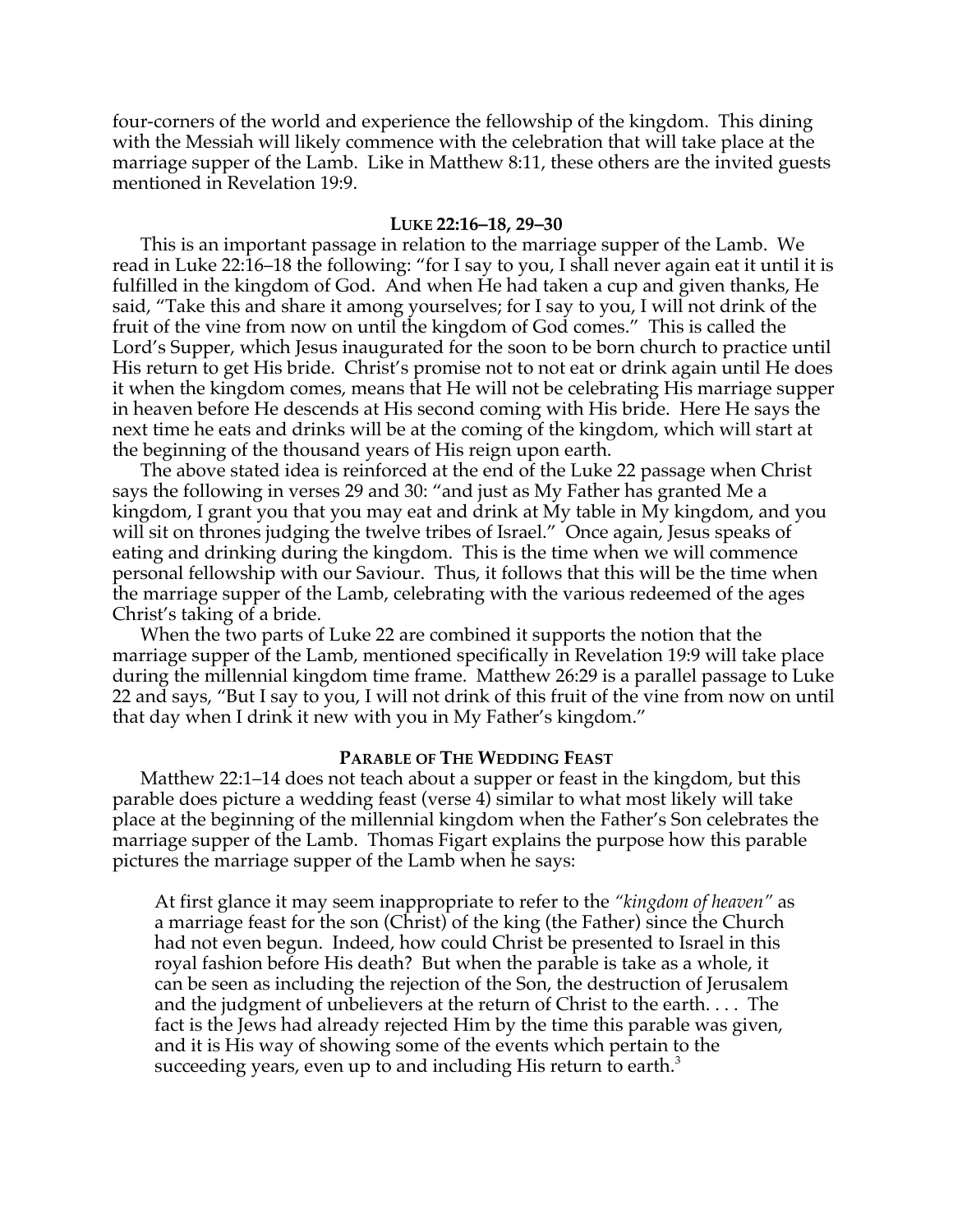four-corners of the world and experience the fellowship of the kingdom. This dining with the Messiah will likely commence with the celebration that will take place at the marriage supper of the Lamb. Like in Matthew 8:11, these others are the invited guests mentioned in Revelation 19:9.

### **LUKE 22:16–18, 29–30**

This is an important passage in relation to the marriage supper of the Lamb. We read in Luke 22:16–18 the following: "for I say to you, I shall never again eat it until it is fulfilled in the kingdom of God. And when He had taken a cup and given thanks, He said, "Take this and share it among yourselves; for I say to you, I will not drink of the fruit of the vine from now on until the kingdom of God comes." This is called the Lord's Supper, which Jesus inaugurated for the soon to be born church to practice until His return to get His bride. Christ's promise not to not eat or drink again until He does it when the kingdom comes, means that He will not be celebrating His marriage supper in heaven before He descends at His second coming with His bride. Here He says the next time he eats and drinks will be at the coming of the kingdom, which will start at the beginning of the thousand years of His reign upon earth.

The above stated idea is reinforced at the end of the Luke 22 passage when Christ says the following in verses 29 and 30: "and just as My Father has granted Me a kingdom, I grant you that you may eat and drink at My table in My kingdom, and you will sit on thrones judging the twelve tribes of Israel." Once again, Jesus speaks of eating and drinking during the kingdom. This is the time when we will commence personal fellowship with our Saviour. Thus, it follows that this will be the time when the marriage supper of the Lamb, celebrating with the various redeemed of the ages Christ's taking of a bride.

When the two parts of Luke 22 are combined it supports the notion that the marriage supper of the Lamb, mentioned specifically in Revelation 19:9 will take place during the millennial kingdom time frame. Matthew 26:29 is a parallel passage to Luke 22 and says, "But I say to you, I will not drink of this fruit of the vine from now on until that day when I drink it new with you in My Father's kingdom."

### **PARABLE OF THE WEDDING FEAST**

Matthew 22:1–14 does not teach about a supper or feast in the kingdom, but this parable does picture a wedding feast (verse 4) similar to what most likely will take place at the beginning of the millennial kingdom when the Father's Son celebrates the marriage supper of the Lamb. Thomas Figart explains the purpose how this parable pictures the marriage supper of the Lamb when he says:

At first glance it may seem inappropriate to refer to the *"kingdom of heaven"* as a marriage feast for the son (Christ) of the king (the Father) since the Church had not even begun. Indeed, how could Christ be presented to Israel in this royal fashion before His death? But when the parable is take as a whole, it can be seen as including the rejection of the Son, the destruction of Jerusalem and the judgment of unbelievers at the return of Christ to the earth. . . . The fact is the Jews had already rejected Him by the time this parable was given, and it is His way of showing some of the events which pertain to the succeeding years, even up to and including His return to earth. $3$